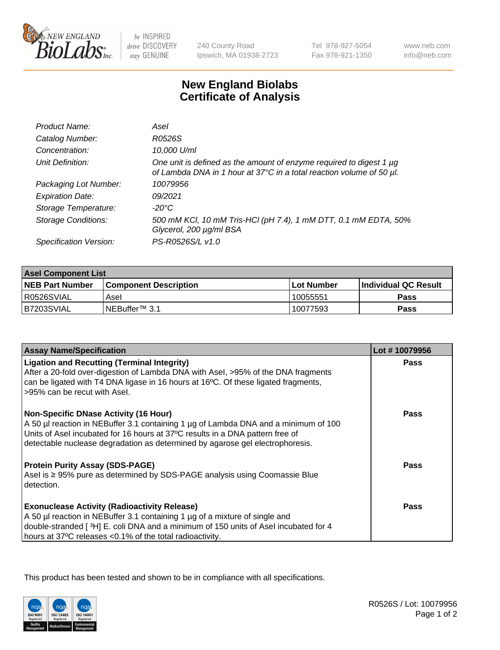

 $be$  INSPIRED drive DISCOVERY stay GENUINE

240 County Road Ipswich, MA 01938-2723 Tel 978-927-5054 Fax 978-921-1350

www.neb.com info@neb.com

## **New England Biolabs Certificate of Analysis**

| Product Name:              | Asel                                                                                                                                        |
|----------------------------|---------------------------------------------------------------------------------------------------------------------------------------------|
| Catalog Number:            | R0526S                                                                                                                                      |
| Concentration:             | 10,000 U/ml                                                                                                                                 |
| Unit Definition:           | One unit is defined as the amount of enzyme required to digest 1 µg<br>of Lambda DNA in 1 hour at 37°C in a total reaction volume of 50 µl. |
| Packaging Lot Number:      | 10079956                                                                                                                                    |
| <b>Expiration Date:</b>    | 09/2021                                                                                                                                     |
| Storage Temperature:       | $-20^{\circ}$ C                                                                                                                             |
| <b>Storage Conditions:</b> | 500 mM KCI, 10 mM Tris-HCI (pH 7.4), 1 mM DTT, 0.1 mM EDTA, 50%<br>Glycerol, 200 µg/ml BSA                                                  |
| Specification Version:     | PS-R0526S/L v1.0                                                                                                                            |

| <b>Asel Component List</b> |                         |              |                             |  |
|----------------------------|-------------------------|--------------|-----------------------------|--|
| <b>NEB Part Number</b>     | l Component Description | l Lot Number | <b>Individual QC Result</b> |  |
| R0526SVIAL                 | Asel                    | 10055551     | Pass                        |  |
| B7203SVIAL                 | INEBuffer™ 3.1          | 10077593     | Pass                        |  |

| <b>Assay Name/Specification</b>                                                                                                                                                                                                                                                                       | Lot #10079956 |
|-------------------------------------------------------------------------------------------------------------------------------------------------------------------------------------------------------------------------------------------------------------------------------------------------------|---------------|
| <b>Ligation and Recutting (Terminal Integrity)</b><br>After a 20-fold over-digestion of Lambda DNA with Asel, >95% of the DNA fragments<br>can be ligated with T4 DNA ligase in 16 hours at 16°C. Of these ligated fragments,<br>>95% can be recut with Asel.                                         | Pass          |
| <b>Non-Specific DNase Activity (16 Hour)</b><br>A 50 µl reaction in NEBuffer 3.1 containing 1 µg of Lambda DNA and a minimum of 100<br>Units of Asel incubated for 16 hours at 37°C results in a DNA pattern free of<br>detectable nuclease degradation as determined by agarose gel electrophoresis. | Pass          |
| <b>Protein Purity Assay (SDS-PAGE)</b><br>Asel is $\geq$ 95% pure as determined by SDS-PAGE analysis using Coomassie Blue<br>detection.                                                                                                                                                               | Pass          |
| <b>Exonuclease Activity (Radioactivity Release)</b><br>A 50 µl reaction in NEBuffer 3.1 containing 1 µg of a mixture of single and<br>double-stranded [3H] E. coli DNA and a minimum of 150 units of Asel incubated for 4<br>hours at 37°C releases <0.1% of the total radioactivity.                 | Pass          |

This product has been tested and shown to be in compliance with all specifications.